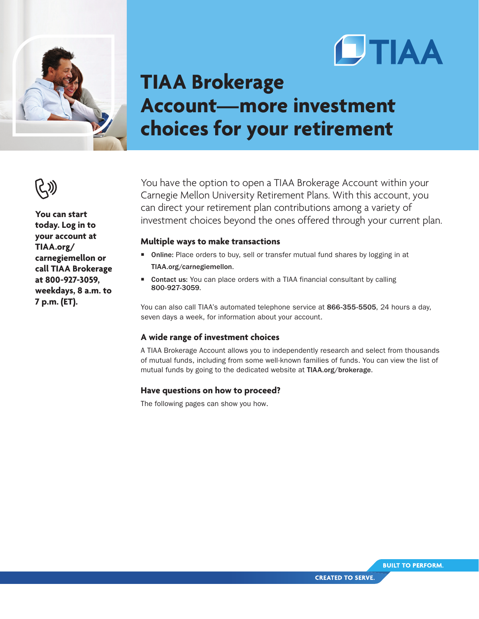



# **TIAA Brokerage Account—more investment choices for your retirement**



**You can start today. Log in to your account at TIAA.org/ carnegiemellon or call TIAA Brokerage at 800-927-3059, weekdays, 8 a.m. to 7 p.m. (ET).**

You have the option to open a TIAA Brokerage Account within your Carnegie Mellon University Retirement Plans. With this account, you can direct your retirement plan contributions among a variety of investment choices beyond the ones offered through your current plan.

# **Multiple ways to make transactions**

- Online: Place orders to buy, sell or transfer mutual fund shares by logging in at TIAA.org/carnegiemellon.
- Contact us: You can place orders with a TIAA financial consultant by calling 800-927-3059.

You can also call TIAA's automated telephone service at 866-355-5505, 24 hours a day, seven days a week, for information about your account.

# **A wide range of investment choices**

A TIAA Brokerage Account allows you to independently research and select from thousands of mutual funds, including from some well-known families of funds. You can view the list of mutual funds by going to the dedicated website at TIAA.org/brokerage.

### **Have questions on how to proceed?**

The following pages can show you how.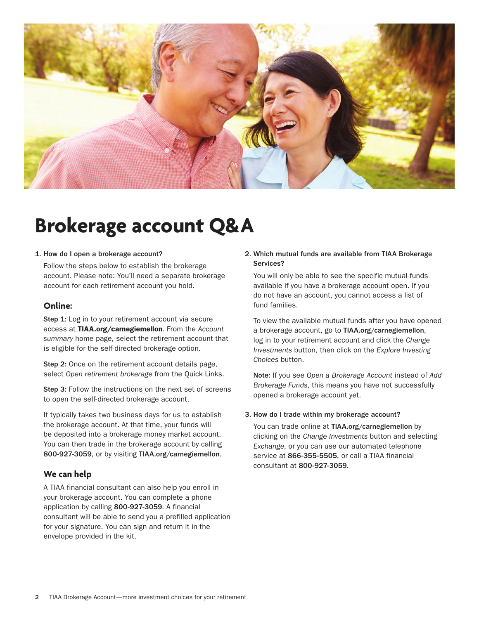

# **Brokerage account Q&A**

#### 1. How do I open a brokerage account?

Follow the steps below to establish the brokerage account. Please note: You'll need a separate brokerage account for each retirement account you hold.

# **Online:**

Step 1: Log in to your retirement account via secure access at TIAA.org/carnegiemellon. From the *Account summary* home page, select the retirement account that is eligible for the self-directed brokerage option.

Step 2: Once on the retirement account details page, select *Open retirement brokerage* from the Quick Links.

Step 3: Follow the instructions on the next set of screens to open the self-directed brokerage account.

It typically takes two business days for us to establish the brokerage account. At that time, your funds will be deposited into a brokerage money market account. You can then trade in the brokerage account by calling 800-927-3059, or by visiting TIAA.org/carnegiemellon.

# **We can help**

A TIAA financial consultant can also help you enroll in your brokerage account. You can complete a phone application by calling 800-927-3059. A financial consultant will be able to send you a prefilled application for your signature. You can sign and return it in the envelope provided in the kit.

#### 2. Which mutual funds are available from TIAA Brokerage Services?

You will only be able to see the specific mutual funds available if you have a brokerage account open. If you do not have an account, you cannot access a list of fund families.

To view the available mutual funds after you have opened a brokerage account, go to TIAA.org/carnegiemellon, log in to your retirement account and click the *Change Investments* button, then click on the *Explore Investing Choices* button.

Note: If you see *Open a Brokerage Account* instead of *Add Brokerage Funds*, this means you have not successfully opened a brokerage account yet.

#### 3. How do I trade within my brokerage account?

You can trade online at TIAA.org/carnegiemellon by clicking on the *Change Investments* button and selecting *Exchange*, or you can use our automated telephone service at 866-355-5505, or call a TIAA financial consultant at 800-927-3059.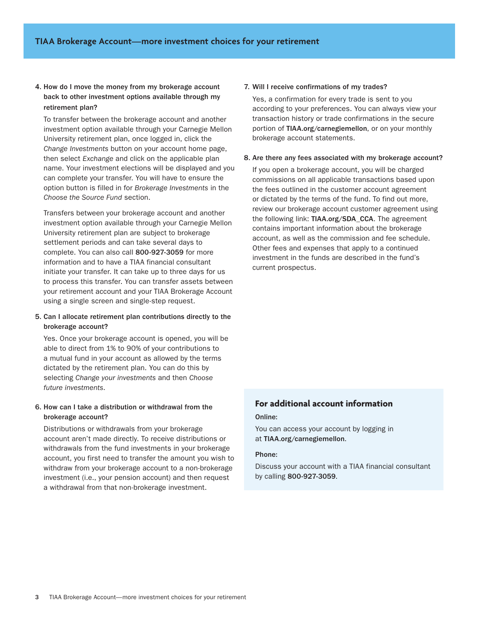### 4. How do I move the money from my brokerage account back to other investment options available through my retirement plan?

To transfer between the brokerage account and another investment option available through your Carnegie Mellon University retirement plan, once logged in, click the *Change Investments* button on your account home page, then select *Exchange* and click on the applicable plan name. Your investment elections will be displayed and you can complete your transfer. You will have to ensure the option button is filled in for *Brokerage Investments* in the *Choose the Source Fund* section.

Transfers between your brokerage account and another investment option available through your Carnegie Mellon University retirement plan are subject to brokerage settlement periods and can take several days to complete. You can also call 800-927-3059 for more information and to have a TIAA financial consultant initiate your transfer. It can take up to three days for us to process this transfer. You can transfer assets between your retirement account and your TIAA Brokerage Account using a single screen and single-step request.

#### 5. Can I allocate retirement plan contributions directly to the brokerage account?

Yes. Once your brokerage account is opened, you will be able to direct from 1% to 90% of your contributions to a mutual fund in your account as allowed by the terms dictated by the retirement plan. You can do this by selecting *Change your investments* and then *Choose future investments*.

#### 6. How can I take a distribution or withdrawal from the brokerage account?

Distributions or withdrawals from your brokerage account aren't made directly. To receive distributions or withdrawals from the fund investments in your brokerage account, you first need to transfer the amount you wish to withdraw from your brokerage account to a non-brokerage investment (i.e., your pension account) and then request a withdrawal from that non-brokerage investment.

#### 7. Will I receive confirmations of my trades?

Yes, a confirmation for every trade is sent to you according to your preferences. You can always view your transaction history or trade confirmations in the secure portion of TIAA.org/carnegiemellon, or on your monthly brokerage account statements.

#### 8. Are there any fees associated with my brokerage account?

If you open a brokerage account, you will be charged commissions on all applicable transactions based upon the fees outlined in the customer account agreement or dictated by the terms of the fund. To find out more, review our brokerage account customer agreement using the following link: TIAA.org/SDA\_CCA. The agreement contains important information about the brokerage account, as well as the commission and fee schedule. Other fees and expenses that apply to a continued investment in the funds are described in the fund's current prospectus.

### **For additional account information**

#### Online:

You can access your account by logging in at TIAA.org/carnegiemellon.

#### Phone:

Discuss your account with a TIAA financial consultant by calling 800-927-3059.